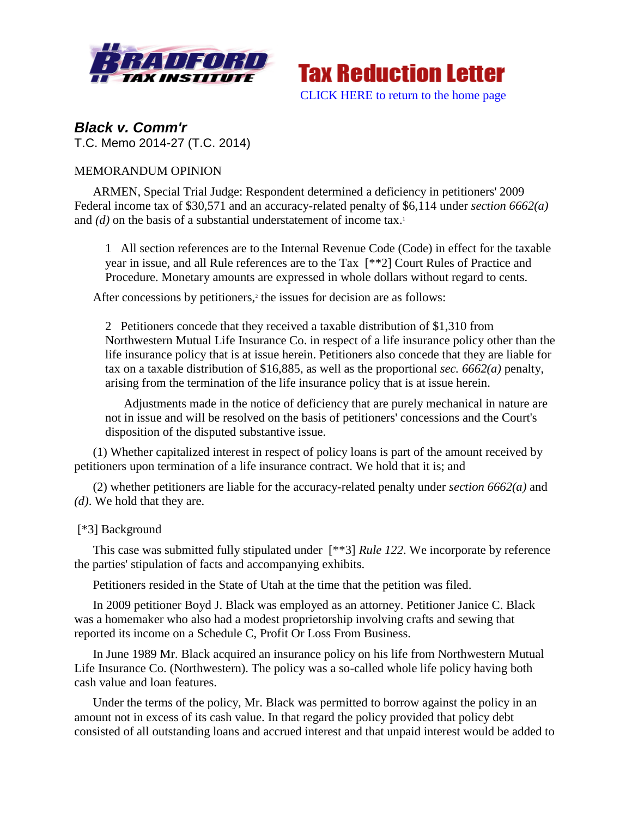



*Black v. Comm'r* T.C. Memo 2014-27 (T.C. 2014)

# MEMORANDUM OPINION

ARMEN, Special Trial Judge: Respondent determined a deficiency in petitioners' 2009 Federal income tax of \$30,571 and an accuracy-related penalty of \$6,114 under *section 6662(a)* and  $(d)$  on the basis of a substantial understatement of income tax.<sup>1</sup>

1 All section references are to the Internal Revenue Code (Code) in effect for the taxable year in issue, and all Rule references are to the Tax [\*\*2] Court Rules of Practice and Procedure. Monetary amounts are expressed in whole dollars without regard to cents.

After concessions by petitioners,<sup>2</sup> the issues for decision are as follows:

2 Petitioners concede that they received a taxable distribution of \$1,310 from Northwestern Mutual Life Insurance Co. in respect of a life insurance policy other than the life insurance policy that is at issue herein. Petitioners also concede that they are liable for tax on a taxable distribution of \$16,885, as well as the proportional *sec. 6662(a)* penalty, arising from the termination of the life insurance policy that is at issue herein.

Adjustments made in the notice of deficiency that are purely mechanical in nature are not in issue and will be resolved on the basis of petitioners' concessions and the Court's disposition of the disputed substantive issue.

(1) Whether capitalized interest in respect of policy loans is part of the amount received by petitioners upon termination of a life insurance contract. We hold that it is; and

(2) whether petitioners are liable for the accuracy-related penalty under *section 6662(a)* and *(d)*. We hold that they are.

## [\*3] Background

This case was submitted fully stipulated under [\*\*3] *Rule 122*. We incorporate by reference the parties' stipulation of facts and accompanying exhibits.

Petitioners resided in the State of Utah at the time that the petition was filed.

In 2009 petitioner Boyd J. Black was employed as an attorney. Petitioner Janice C. Black was a homemaker who also had a modest proprietorship involving crafts and sewing that reported its income on a Schedule C, Profit Or Loss From Business.

In June 1989 Mr. Black acquired an insurance policy on his life from Northwestern Mutual Life Insurance Co. (Northwestern). The policy was a so-called whole life policy having both cash value and loan features.

Under the terms of the policy, Mr. Black was permitted to borrow against the policy in an amount not in excess of its cash value. In that regard the policy provided that policy debt consisted of all outstanding loans and accrued interest and that unpaid interest would be added to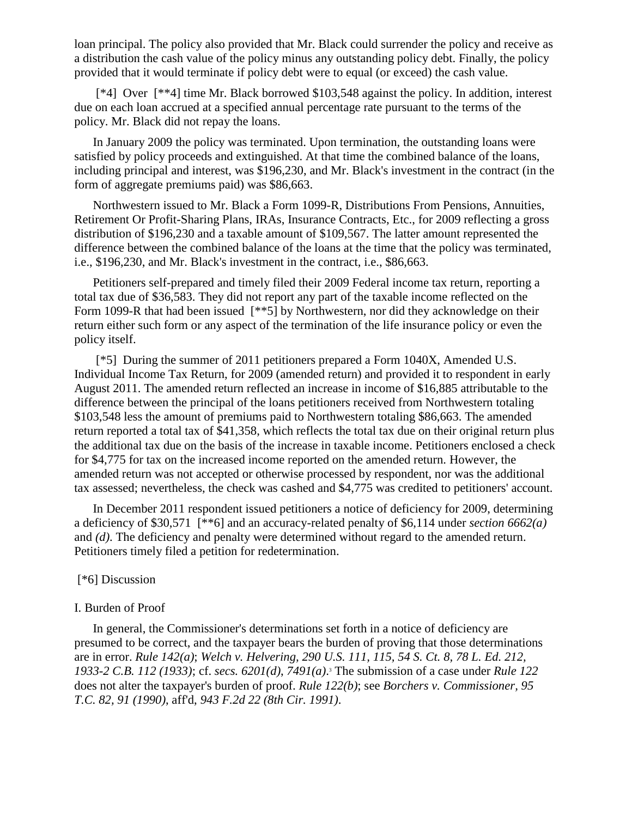loan principal. The policy also provided that Mr. Black could surrender the policy and receive as a distribution the cash value of the policy minus any outstanding policy debt. Finally, the policy provided that it would terminate if policy debt were to equal (or exceed) the cash value.

[\*4] Over [\*\*4] time Mr. Black borrowed \$103,548 against the policy. In addition, interest due on each loan accrued at a specified annual percentage rate pursuant to the terms of the policy. Mr. Black did not repay the loans.

In January 2009 the policy was terminated. Upon termination, the outstanding loans were satisfied by policy proceeds and extinguished. At that time the combined balance of the loans, including principal and interest, was \$196,230, and Mr. Black's investment in the contract (in the form of aggregate premiums paid) was \$86,663.

Northwestern issued to Mr. Black a Form 1099-R, Distributions From Pensions, Annuities, Retirement Or Profit-Sharing Plans, IRAs, Insurance Contracts, Etc., for 2009 reflecting a gross distribution of \$196,230 and a taxable amount of \$109,567. The latter amount represented the difference between the combined balance of the loans at the time that the policy was terminated, i.e., \$196,230, and Mr. Black's investment in the contract, i.e., \$86,663.

Petitioners self-prepared and timely filed their 2009 Federal income tax return, reporting a total tax due of \$36,583. They did not report any part of the taxable income reflected on the Form 1099-R that had been issued [\*\*5] by Northwestern, nor did they acknowledge on their return either such form or any aspect of the termination of the life insurance policy or even the policy itself.

[\*5] During the summer of 2011 petitioners prepared a Form 1040X, Amended U.S. Individual Income Tax Return, for 2009 (amended return) and provided it to respondent in early August 2011. The amended return reflected an increase in income of \$16,885 attributable to the difference between the principal of the loans petitioners received from Northwestern totaling \$103,548 less the amount of premiums paid to Northwestern totaling \$86,663. The amended return reported a total tax of \$41,358, which reflects the total tax due on their original return plus the additional tax due on the basis of the increase in taxable income. Petitioners enclosed a check for \$4,775 for tax on the increased income reported on the amended return. However, the amended return was not accepted or otherwise processed by respondent, nor was the additional tax assessed; nevertheless, the check was cashed and \$4,775 was credited to petitioners' account.

In December 2011 respondent issued petitioners a notice of deficiency for 2009, determining a deficiency of \$30,571 [\*\*6] and an accuracy-related penalty of \$6,114 under *section 6662(a)* and *(d)*. The deficiency and penalty were determined without regard to the amended return. Petitioners timely filed a petition for redetermination.

## [\*6] Discussion

#### I. Burden of Proof

In general, the Commissioner's determinations set forth in a notice of deficiency are presumed to be correct, and the taxpayer bears the burden of proving that those determinations are in error. *Rule 142(a)*; *Welch v. Helvering, 290 U.S. 111, 115, 54 S. Ct. 8, 78 L. Ed. 212, 1933-2 C.B. 112 (1933)*; cf. *secs. 6201(d)*, *7491(a)*. <sup>3</sup> The submission of a case under *Rule 122* does not alter the taxpayer's burden of proof. *Rule 122(b)*; see *Borchers v. Commissioner, 95 T.C. 82, 91 (1990)*, aff'd, *943 F.2d 22 (8th Cir. 1991)*.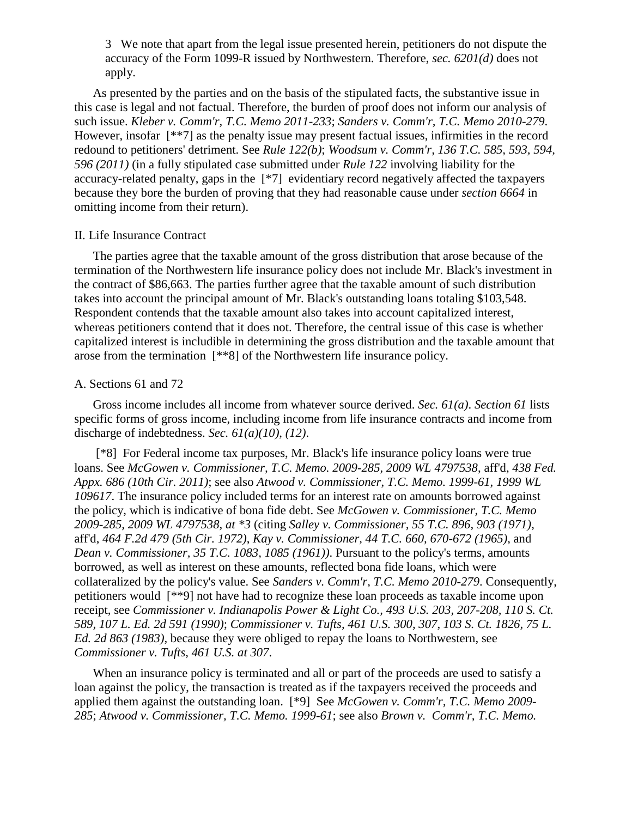3 We note that apart from the legal issue presented herein, petitioners do not dispute the accuracy of the Form 1099-R issued by Northwestern. Therefore, *sec. 6201(d)* does not apply.

As presented by the parties and on the basis of the stipulated facts, the substantive issue in this case is legal and not factual. Therefore, the burden of proof does not inform our analysis of such issue. *Kleber v. Comm'r, T.C. Memo 2011-233*; *Sanders v. Comm'r, T.C. Memo 2010-279*. However, insofar [\*\*7] as the penalty issue may present factual issues, infirmities in the record redound to petitioners' detriment. See *Rule 122(b)*; *Woodsum v. Comm'r, 136 T.C. 585, 593, 594, 596 (2011)* (in a fully stipulated case submitted under *Rule 122* involving liability for the accuracy-related penalty, gaps in the [\*7] evidentiary record negatively affected the taxpayers because they bore the burden of proving that they had reasonable cause under *section 6664* in omitting income from their return).

### II. Life Insurance Contract

The parties agree that the taxable amount of the gross distribution that arose because of the termination of the Northwestern life insurance policy does not include Mr. Black's investment in the contract of \$86,663. The parties further agree that the taxable amount of such distribution takes into account the principal amount of Mr. Black's outstanding loans totaling \$103,548. Respondent contends that the taxable amount also takes into account capitalized interest, whereas petitioners contend that it does not. Therefore, the central issue of this case is whether capitalized interest is includible in determining the gross distribution and the taxable amount that arose from the termination [\*\*8] of the Northwestern life insurance policy.

#### A. Sections 61 and 72

Gross income includes all income from whatever source derived. *Sec. 61(a)*. *Section 61* lists specific forms of gross income, including income from life insurance contracts and income from discharge of indebtedness. *Sec. 61(a)(10)*, *(12)*.

[\*8] For Federal income tax purposes, Mr. Black's life insurance policy loans were true loans. See *McGowen v. Commissioner, T.C. Memo. 2009-285, 2009 WL 4797538*, aff'd, *438 Fed. Appx. 686 (10th Cir. 2011)*; see also *Atwood v. Commissioner, T.C. Memo. 1999-61, 1999 WL 109617*. The insurance policy included terms for an interest rate on amounts borrowed against the policy, which is indicative of bona fide debt. See *McGowen v. Commissioner, T.C. Memo 2009-285, 2009 WL 4797538, at \*3* (citing *Salley v. Commissioner, 55 T.C. 896, 903 (1971)*, aff'd, *464 F.2d 479 (5th Cir. 1972)*, *Kay v. Commissioner, 44 T.C. 660, 670-672 (1965)*, and *Dean v. Commissioner, 35 T.C. 1083, 1085 (1961))*. Pursuant to the policy's terms, amounts borrowed, as well as interest on these amounts, reflected bona fide loans, which were collateralized by the policy's value. See *Sanders v. Comm'r, T.C. Memo 2010-279*. Consequently, petitioners would [\*\*9] not have had to recognize these loan proceeds as taxable income upon receipt, see *Commissioner v. Indianapolis Power & Light Co., 493 U.S. 203, 207-208, 110 S. Ct. 589, 107 L. Ed. 2d 591 (1990)*; *Commissioner v. Tufts, 461 U.S. 300, 307, 103 S. Ct. 1826, 75 L. Ed. 2d 863 (1983)*, because they were obliged to repay the loans to Northwestern, see *Commissioner v. Tufts, 461 U.S. at 307*.

When an insurance policy is terminated and all or part of the proceeds are used to satisfy a loan against the policy, the transaction is treated as if the taxpayers received the proceeds and applied them against the outstanding loan. [\*9] See *McGowen v. Comm'r, T.C. Memo 2009- 285*; *Atwood v. Commissioner, T.C. Memo. 1999-61*; see also *Brown v. Comm'r, T.C. Memo.*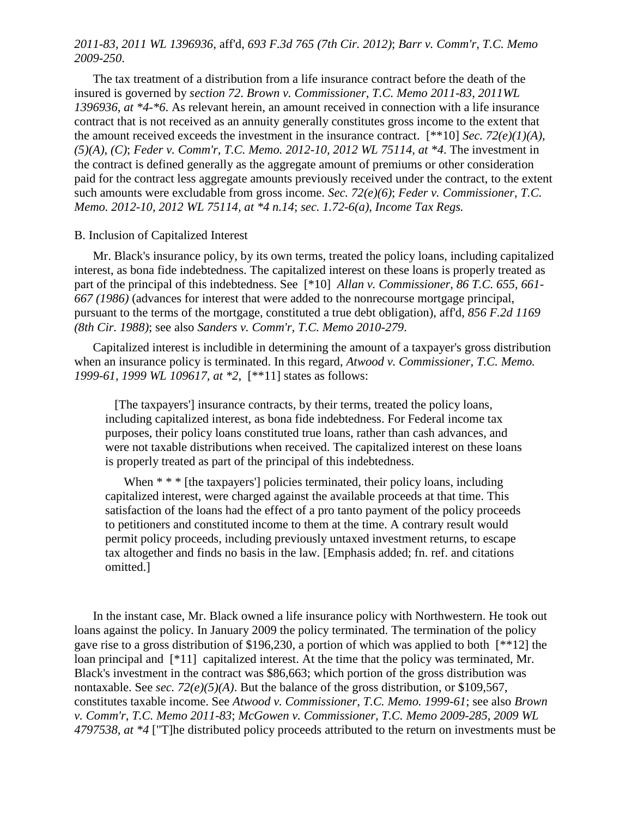## *2011-83, 2011 WL 1396936*, aff'd, *693 F.3d 765 (7th Cir. 2012)*; *Barr v. Comm'r, T.C. Memo 2009-250*.

The tax treatment of a distribution from a life insurance contract before the death of the insured is governed by *section 72*. *Brown v. Commissioner, T.C. Memo 2011-83, 2011WL 1396936, at \*4-\*6*. As relevant herein, an amount received in connection with a life insurance contract that is not received as an annuity generally constitutes gross income to the extent that the amount received exceeds the investment in the insurance contract. [\*\*10] *Sec. 72(e)(1)(A)*, *(5)(A)*, *(C)*; *Feder v. Comm'r, T.C. Memo. 2012-10, 2012 WL 75114, at \*4*. The investment in the contract is defined generally as the aggregate amount of premiums or other consideration paid for the contract less aggregate amounts previously received under the contract, to the extent such amounts were excludable from gross income. *Sec. 72(e)(6)*; *Feder v. Commissioner, T.C. Memo. 2012-10, 2012 WL 75114, at \*4 n.14*; *sec. 1.72-6(a), Income Tax Regs.*

#### B. Inclusion of Capitalized Interest

Mr. Black's insurance policy, by its own terms, treated the policy loans, including capitalized interest, as bona fide indebtedness. The capitalized interest on these loans is properly treated as part of the principal of this indebtedness. See [\*10] *Allan v. Commissioner, 86 T.C. 655, 661- 667 (1986)* (advances for interest that were added to the nonrecourse mortgage principal, pursuant to the terms of the mortgage, constituted a true debt obligation), aff'd, *856 F.2d 1169 (8th Cir. 1988)*; see also *Sanders v. Comm'r, T.C. Memo 2010-279*.

Capitalized interest is includible in determining the amount of a taxpayer's gross distribution when an insurance policy is terminated. In this regard, *Atwood v. Commissioner, T.C. Memo. 1999-61, 1999 WL 109617, at \*2*, [\*\*11] states as follows:

 [The taxpayers'] insurance contracts, by their terms, treated the policy loans, including capitalized interest, as bona fide indebtedness. For Federal income tax purposes, their policy loans constituted true loans, rather than cash advances, and were not taxable distributions when received. The capitalized interest on these loans is properly treated as part of the principal of this indebtedness.

When  $**$  <sup>\*</sup> [the taxpayers] policies terminated, their policy loans, including capitalized interest, were charged against the available proceeds at that time. This satisfaction of the loans had the effect of a pro tanto payment of the policy proceeds to petitioners and constituted income to them at the time. A contrary result would permit policy proceeds, including previously untaxed investment returns, to escape tax altogether and finds no basis in the law. [Emphasis added; fn. ref. and citations omitted.]

In the instant case, Mr. Black owned a life insurance policy with Northwestern. He took out loans against the policy. In January 2009 the policy terminated. The termination of the policy gave rise to a gross distribution of \$196,230, a portion of which was applied to both [\*\*12] the loan principal and  $[*11]$  capitalized interest. At the time that the policy was terminated, Mr. Black's investment in the contract was \$86,663; which portion of the gross distribution was nontaxable. See *sec. 72(e)(5)(A)*. But the balance of the gross distribution, or \$109,567, constitutes taxable income. See *Atwood v. Commissioner, T.C. Memo. 1999-61*; see also *Brown v. Comm'r, T.C. Memo 2011-83*; *McGowen v. Commissioner, T.C. Memo 2009-285, 2009 WL 4797538, at \*4* ["T]he distributed policy proceeds attributed to the return on investments must be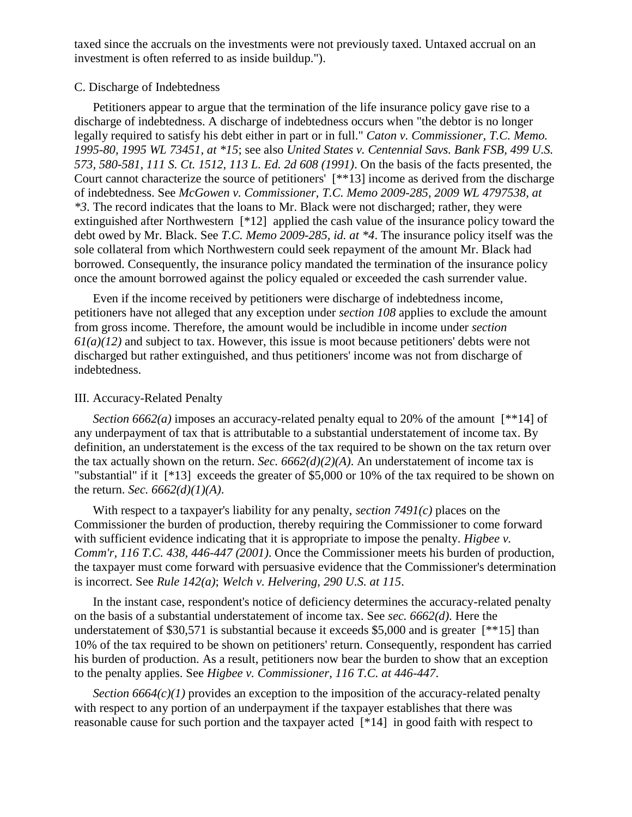taxed since the accruals on the investments were not previously taxed. Untaxed accrual on an investment is often referred to as inside buildup.").

### C. Discharge of Indebtedness

Petitioners appear to argue that the termination of the life insurance policy gave rise to a discharge of indebtedness. A discharge of indebtedness occurs when "the debtor is no longer legally required to satisfy his debt either in part or in full." *Caton v. Commissioner, T.C. Memo. 1995-80, 1995 WL 73451, at \*15*; see also *United States v. Centennial Savs. Bank FSB, 499 U.S. 573, 580-581, 111 S. Ct. 1512, 113 L. Ed. 2d 608 (1991)*. On the basis of the facts presented, the Court cannot characterize the source of petitioners' [\*\*13] income as derived from the discharge of indebtedness. See *McGowen v. Commissioner, T.C. Memo 2009-285, 2009 WL 4797538, at \*3*. The record indicates that the loans to Mr. Black were not discharged; rather, they were extinguished after Northwestern [\*12] applied the cash value of the insurance policy toward the debt owed by Mr. Black. See *T.C. Memo 2009-285, id. at \*4*. The insurance policy itself was the sole collateral from which Northwestern could seek repayment of the amount Mr. Black had borrowed. Consequently, the insurance policy mandated the termination of the insurance policy once the amount borrowed against the policy equaled or exceeded the cash surrender value.

Even if the income received by petitioners were discharge of indebtedness income, petitioners have not alleged that any exception under *section 108* applies to exclude the amount from gross income. Therefore, the amount would be includible in income under *section 61(a)(12)* and subject to tax. However, this issue is moot because petitioners' debts were not discharged but rather extinguished, and thus petitioners' income was not from discharge of indebtedness.

## III. Accuracy-Related Penalty

*Section 6662(a)* imposes an accuracy-related penalty equal to 20% of the amount [\*\*14] of any underpayment of tax that is attributable to a substantial understatement of income tax. By definition, an understatement is the excess of the tax required to be shown on the tax return over the tax actually shown on the return. *Sec. 6662(d)(2)(A)*. An understatement of income tax is "substantial" if it [\*13] exceeds the greater of \$5,000 or 10% of the tax required to be shown on the return. *Sec. 6662(d)(1)(A)*.

With respect to a taxpayer's liability for any penalty, *section 7491(c)* places on the Commissioner the burden of production, thereby requiring the Commissioner to come forward with sufficient evidence indicating that it is appropriate to impose the penalty. *Higbee v. Comm'r, 116 T.C. 438, 446-447 (2001)*. Once the Commissioner meets his burden of production, the taxpayer must come forward with persuasive evidence that the Commissioner's determination is incorrect. See *Rule 142(a)*; *Welch v. Helvering, 290 U.S. at 115*.

In the instant case, respondent's notice of deficiency determines the accuracy-related penalty on the basis of a substantial understatement of income tax. See *sec. 6662(d)*. Here the understatement of \$30,571 is substantial because it exceeds \$5,000 and is greater [\*\*15] than 10% of the tax required to be shown on petitioners' return. Consequently, respondent has carried his burden of production. As a result, petitioners now bear the burden to show that an exception to the penalty applies. See *Higbee v. Commissioner, 116 T.C. at 446-447*.

*Section 6664(c)(1)* provides an exception to the imposition of the accuracy-related penalty with respect to any portion of an underpayment if the taxpayer establishes that there was reasonable cause for such portion and the taxpayer acted [\*14] in good faith with respect to